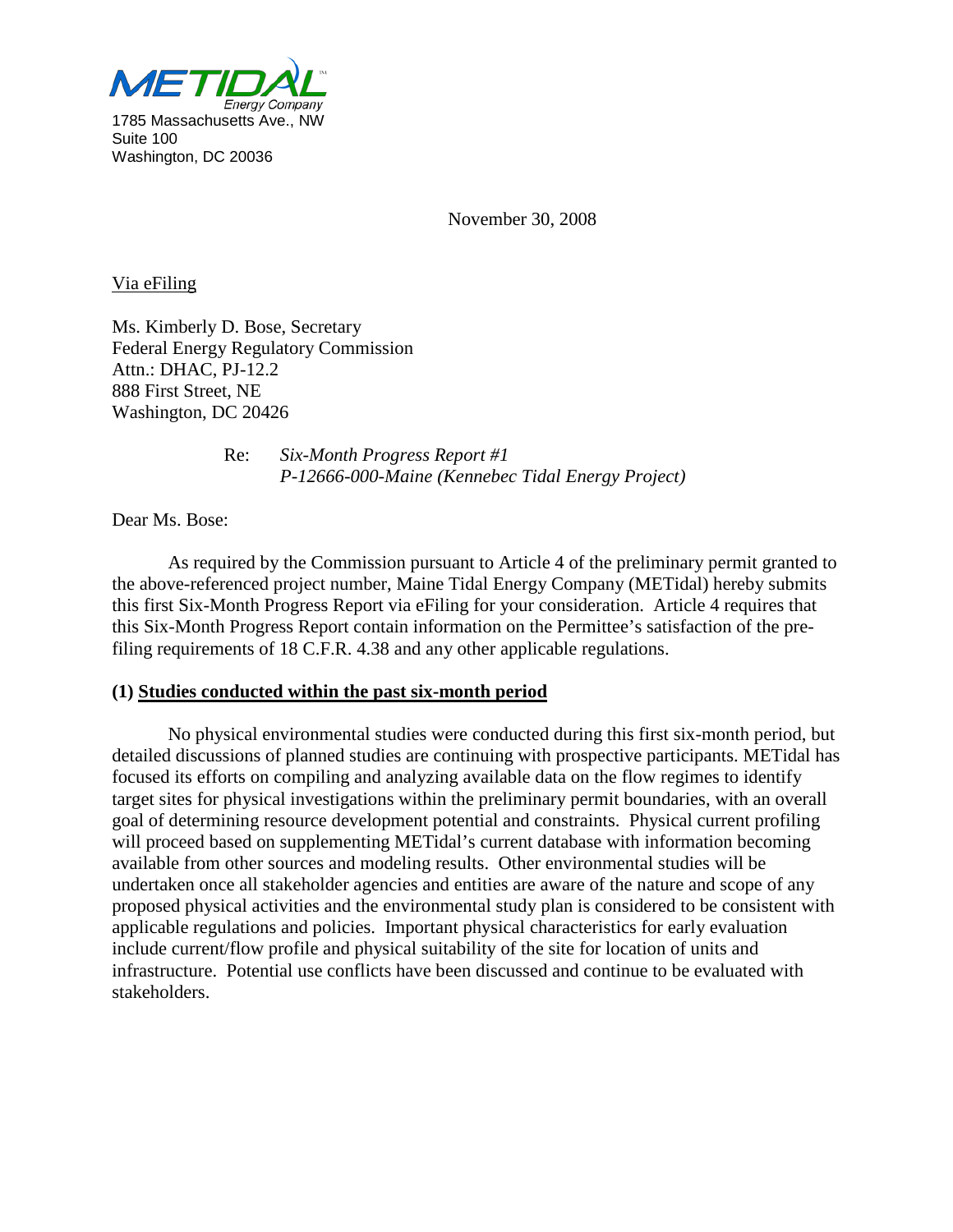

November 30, 2008

Via eFiling

Attn.: DHAC, PJ-12.2 Ms. Kimberly D. Bose, Secretary Federal Energy Regulatory Commission 888 First Street, NE Washington, DC 20426

> Re: *Six-Month Progress Report #1 P-12666-000-Maine (Kennebec Tidal Energy Project)*

Dear Ms. Bose:

As required by the Commission pursuant to Article 4 of the preliminary permit granted to the above-referenced project number, Maine Tidal Energy Company (METidal) hereby submits this first Six-Month Progress Report via eFiling for your consideration. Article 4 requires that this Six-Month Progress Report contain information on the Permittee's satisfaction of the prefiling requirements of 18 C.F.R. 4.38 and any other applicable regulations.

# **(1) Studies conducted within the past six-month period**

No physical environmental studies were conducted during this first six-month period, but detailed discussions of planned studies are continuing with prospective participants. METidal has focused its efforts on compiling and analyzing available data on the flow regimes to identify target sites for physical investigations within the preliminary permit boundaries, with an overall goal of determining resource development potential and constraints. Physical current profiling will proceed based on supplementing METidal's current database with information becoming available from other sources and modeling results. Other environmental studies will be undertaken once all stakeholder agencies and entities are aware of the nature and scope of any proposed physical activities and the environmental study plan is considered to be consistent with applicable regulations and policies. Important physical characteristics for early evaluation include current/flow profile and physical suitability of the site for location of units and infrastructure. Potential use conflicts have been discussed and continue to be evaluated with stakeholders.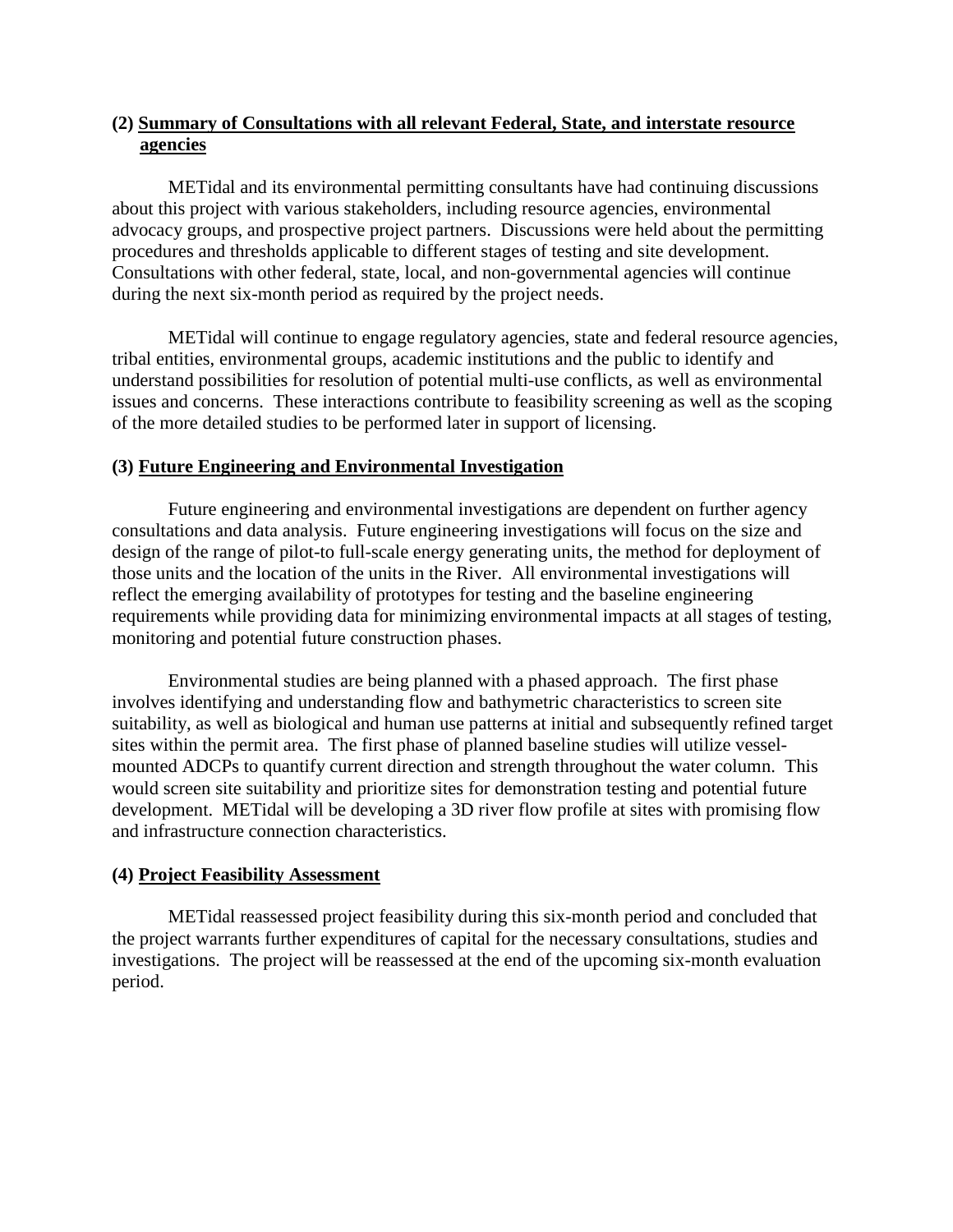# **(2) Summary of Consultations with all relevant Federal, State, and interstate resource agencies**

METidal and its environmental permitting consultants have had continuing discussions about this project with various stakeholders, including resource agencies, environmental advocacy groups, and prospective project partners. Discussions were held about the permitting procedures and thresholds applicable to different stages of testing and site development. Consultations with other federal, state, local, and non-governmental agencies will continue during the next six-month period as required by the project needs.

METidal will continue to engage regulatory agencies, state and federal resource agencies, tribal entities, environmental groups, academic institutions and the public to identify and understand possibilities for resolution of potential multi-use conflicts, as well as environmental issues and concerns. These interactions contribute to feasibility screening as well as the scoping of the more detailed studies to be performed later in support of licensing.

# **(3) Future Engineering and Environmental Investigation**

Future engineering and environmental investigations are dependent on further agency consultations and data analysis. Future engineering investigations will focus on the size and design of the range of pilot-to full-scale energy generating units, the method for deployment of those units and the location of the units in the River. All environmental investigations will reflect the emerging availability of prototypes for testing and the baseline engineering requirements while providing data for minimizing environmental impacts at all stages of testing, monitoring and potential future construction phases.

Environmental studies are being planned with a phased approach. The first phase involves identifying and understanding flow and bathymetric characteristics to screen site suitability, as well as biological and human use patterns at initial and subsequently refined target sites within the permit area. The first phase of planned baseline studies will utilize vesselmounted ADCPs to quantify current direction and strength throughout the water column. This would screen site suitability and prioritize sites for demonstration testing and potential future development. METidal will be developing a 3D river flow profile at sites with promising flow and infrastructure connection characteristics.

### **(4) Project Feasibility Assessment**

METidal reassessed project feasibility during this six-month period and concluded that the project warrants further expenditures of capital for the necessary consultations, studies and investigations. The project will be reassessed at the end of the upcoming six-month evaluation period.